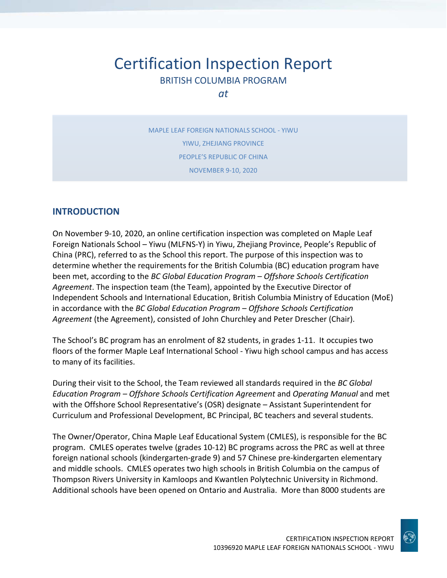# Certification Inspection Report BRITISH COLUMBIA PROGRAM

*at*

MAPLE LEAF FOREIGN NATIONALS SCHOOL - YIWU YIWU, ZHEJIANG PROVINCE PEOPLE'S REPUBLIC OF CHINA NOVEMBER 9-10, 2020

#### **INTRODUCTION**

On November 9-10, 2020, an online certification inspection was completed on Maple Leaf Foreign Nationals School – Yiwu (MLFNS-Y) in Yiwu, Zhejiang Province, People's Republic of China (PRC), referred to as the School this report. The purpose of this inspection was to determine whether the requirements for the British Columbia (BC) education program have been met, according to the *BC Global Education Program – Offshore Schools Certification Agreement*. The inspection team (the Team), appointed by the Executive Director of Independent Schools and International Education, British Columbia Ministry of Education (MoE) in accordance with the *BC Global Education Program – Offshore Schools Certification Agreement* (the Agreement), consisted of John Churchley and Peter Drescher (Chair).

The School's BC program has an enrolment of 82 students, in grades 1-11. It occupies two floors of the former Maple Leaf International School - Yiwu high school campus and has access to many of its facilities.

During their visit to the School, the Team reviewed all standards required in the *BC Global Education Program – Offshore Schools Certification Agreement* and *Operating Manual* and met with the Offshore School Representative's (OSR) designate – Assistant Superintendent for Curriculum and Professional Development, BC Principal, BC teachers and several students.

The Owner/Operator, China Maple Leaf Educational System (CMLES), is responsible for the BC program. CMLES operates twelve (grades 10-12) BC programs across the PRC as well at three foreign national schools (kindergarten-grade 9) and 57 Chinese pre-kindergarten elementary and middle schools. CMLES operates two high schools in British Columbia on the campus of Thompson Rivers University in Kamloops and Kwantlen Polytechnic University in Richmond. Additional schools have been opened on Ontario and Australia. More than 8000 students are

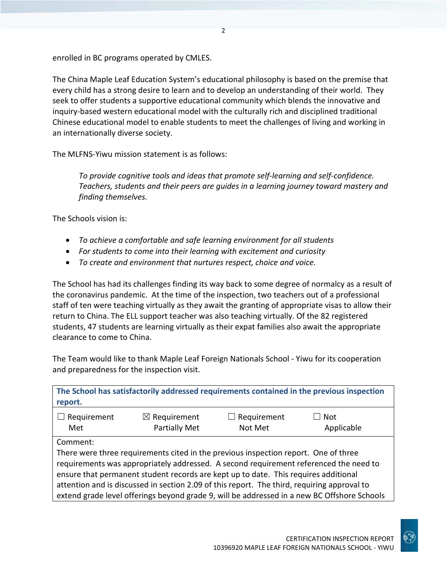enrolled in BC programs operated by CMLES.

The China Maple Leaf Education System's educational philosophy is based on the premise that every child has a strong desire to learn and to develop an understanding of their world. They seek to offer students a supportive educational community which blends the innovative and inquiry-based western educational model with the culturally rich and disciplined traditional Chinese educational model to enable students to meet the challenges of living and working in an internationally diverse society.

The MLFNS-Yiwu mission statement is as follows:

*To provide cognitive tools and ideas that promote self-learning and self-confidence. Teachers, students and their peers are guides in a learning journey toward mastery and finding themselves.*

The Schools vision is:

- *To achieve a comfortable and safe learning environment for all students*
- *For students to come into their learning with excitement and curiosity*
- *To create and environment that nurtures respect, choice and voice.*

The School has had its challenges finding its way back to some degree of normalcy as a result of the coronavirus pandemic. At the time of the inspection, two teachers out of a professional staff of ten were teaching virtually as they await the granting of appropriate visas to allow their return to China. The ELL support teacher was also teaching virtually. Of the 82 registered students, 47 students are learning virtually as their expat families also await the appropriate clearance to come to China.

The Team would like to thank Maple Leaf Foreign Nationals School - Yiwu for its cooperation and preparedness for the inspection visit.

| report.                                                                                                                                                                                                                                                                                                                                                                                                                                                                       |                                                 |                        | The School has satisfactorily addressed requirements contained in the previous inspection |
|-------------------------------------------------------------------------------------------------------------------------------------------------------------------------------------------------------------------------------------------------------------------------------------------------------------------------------------------------------------------------------------------------------------------------------------------------------------------------------|-------------------------------------------------|------------------------|-------------------------------------------------------------------------------------------|
| $\Box$ Requirement<br>Met                                                                                                                                                                                                                                                                                                                                                                                                                                                     | $\boxtimes$ Requirement<br><b>Partially Met</b> | Requirement<br>Not Met | Not<br>Applicable                                                                         |
| Comment:<br>There were three requirements cited in the previous inspection report. One of three<br>requirements was appropriately addressed. A second requirement referenced the need to<br>ensure that permanent student records are kept up to date. This requires additional<br>attention and is discussed in section 2.09 of this report. The third, requiring approval to<br>extend grade level offerings beyond grade 9, will be addressed in a new BC Offshore Schools |                                                 |                        |                                                                                           |

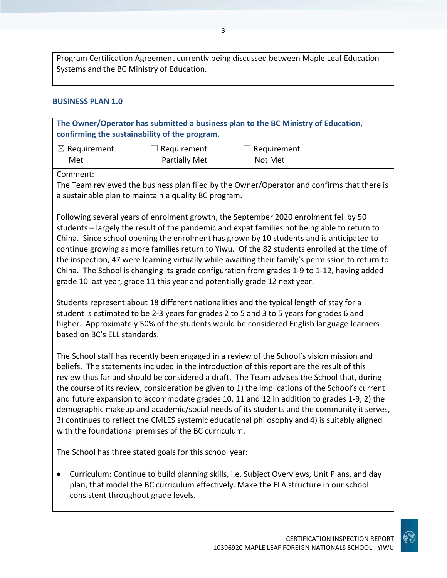Program Certification Agreement currently being discussed between Maple Leaf Education Systems and the BC Ministry of Education.

#### **BUSINESS PLAN 1.0**

**The Owner/Operator has submitted a business plan to the BC Ministry of Education, confirming the sustainability of the program.** ☒ Requirement Met ☐ Requirement Partially Met  $\Box$  Requirement Not Met

Comment:

The Team reviewed the business plan filed by the Owner/Operator and confirms that there is a sustainable plan to maintain a quality BC program.

Following several years of enrolment growth, the September 2020 enrolment fell by 50 students – largely the result of the pandemic and expat families not being able to return to China. Since school opening the enrolment has grown by 10 students and is anticipated to continue growing as more families return to Yiwu. Of the 82 students enrolled at the time of the inspection, 47 were learning virtually while awaiting their family's permission to return to China. The School is changing its grade configuration from grades 1-9 to 1-12, having added grade 10 last year, grade 11 this year and potentially grade 12 next year.

Students represent about 18 different nationalities and the typical length of stay for a student is estimated to be 2-3 years for grades 2 to 5 and 3 to 5 years for grades 6 and higher. Approximately 50% of the students would be considered English language learners based on BC's ELL standards.

The School staff has recently been engaged in a review of the School's vision mission and beliefs. The statements included in the introduction of this report are the result of this review thus far and should be considered a draft. The Team advises the School that, during the course of its review, consideration be given to 1) the implications of the School's current and future expansion to accommodate grades 10, 11 and 12 in addition to grades 1-9, 2) the demographic makeup and academic/social needs of its students and the community it serves, 3) continues to reflect the CMLES systemic educational philosophy and 4) is suitably aligned with the foundational premises of the BC curriculum.

The School has three stated goals for this school year:

• Curriculum: Continue to build planning skills, i.e. Subject Overviews, Unit Plans, and day plan, that model the BC curriculum effectively. Make the ELA structure in our school consistent throughout grade levels.

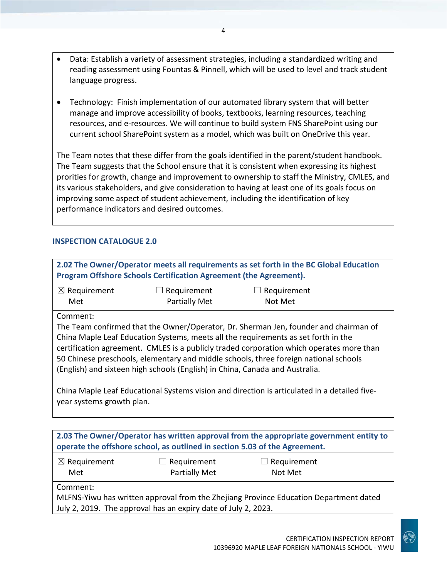- Data: Establish a variety of assessment strategies, including a standardized writing and reading assessment using Fountas & Pinnell, which will be used to level and track student language progress.
- Technology: Finish implementation of our automated library system that will better manage and improve accessibility of books, textbooks, learning resources, teaching resources, and e-resources. We will continue to build system FNS SharePoint using our current school SharePoint system as a model, which was built on OneDrive this year.

The Team notes that these differ from the goals identified in the parent/student handbook. The Team suggests that the School ensure that it is consistent when expressing its highest prorities for growth, change and improvement to ownership to staff the Ministry, CMLES, and its various stakeholders, and give consideration to having at least one of its goals focus on improving some aspect of student achievement, including the identification of key performance indicators and desired outcomes.

#### **INSPECTION CATALOGUE 2.0**

| 2.02 The Owner/Operator meets all requirements as set forth in the BC Global Education<br>Program Offshore Schools Certification Agreement (the Agreement).                                                                                                                                                                                                                                                                                                                                                                                                                             |                                     |                               |  |
|-----------------------------------------------------------------------------------------------------------------------------------------------------------------------------------------------------------------------------------------------------------------------------------------------------------------------------------------------------------------------------------------------------------------------------------------------------------------------------------------------------------------------------------------------------------------------------------------|-------------------------------------|-------------------------------|--|
| $\boxtimes$ Requirement<br>Met                                                                                                                                                                                                                                                                                                                                                                                                                                                                                                                                                          | Requirement<br>Partially Met        | $\Box$ Requirement<br>Not Met |  |
| Comment:<br>The Team confirmed that the Owner/Operator, Dr. Sherman Jen, founder and chairman of<br>China Maple Leaf Education Systems, meets all the requirements as set forth in the<br>certification agreement. CMLES is a publicly traded corporation which operates more than<br>50 Chinese preschools, elementary and middle schools, three foreign national schools<br>(English) and sixteen high schools (English) in China, Canada and Australia.<br>China Maple Leaf Educational Systems vision and direction is articulated in a detailed five-<br>year systems growth plan. |                                     |                               |  |
| 2.03 The Owner/Operator has written approval from the appropriate government entity to<br>operate the offshore school, as outlined in section 5.03 of the Agreement.                                                                                                                                                                                                                                                                                                                                                                                                                    |                                     |                               |  |
| $\boxtimes$ Requirement<br>Met                                                                                                                                                                                                                                                                                                                                                                                                                                                                                                                                                          | $\Box$ Requirement<br>Partially Met | Requirement<br>Not Met        |  |
| Comment:<br>MLFNS-Yiwu has written approval from the Zhejiang Province Education Department dated<br>July 2, 2019. The approval has an expiry date of July 2, 2023.                                                                                                                                                                                                                                                                                                                                                                                                                     |                                     |                               |  |

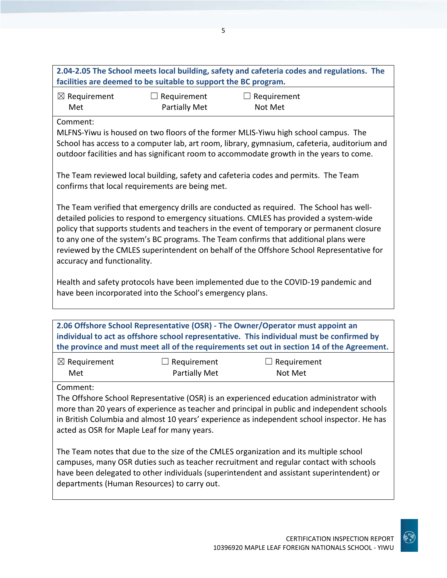|                                |                                                                 | 2.04-2.05 The School meets local building, safety and cafeteria codes and regulations. The |  |
|--------------------------------|-----------------------------------------------------------------|--------------------------------------------------------------------------------------------|--|
|                                | facilities are deemed to be suitable to support the BC program. |                                                                                            |  |
| $\boxtimes$ Requirement<br>Met | $\Box$ Requirement<br><b>Partially Met</b>                      | $\Box$ Requirement<br>Not Met                                                              |  |
| Comment:                       |                                                                 | MI FNS-Yiwu is housed on two floors of the former MI IS-Yiwu high school campus. The       |  |

MLFNS-Yiwu is housed on two floors of the former MLIS-Yiwu high school campus. The School has access to a computer lab, art room, library, gymnasium, cafeteria, auditorium and outdoor facilities and has significant room to accommodate growth in the years to come.

The Team reviewed local building, safety and cafeteria codes and permits. The Team confirms that local requirements are being met.

The Team verified that emergency drills are conducted as required. The School has welldetailed policies to respond to emergency situations. CMLES has provided a system-wide policy that supports students and teachers in the event of temporary or permanent closure to any one of the system's BC programs. The Team confirms that additional plans were reviewed by the CMLES superintendent on behalf of the Offshore School Representative for accuracy and functionality.

Health and safety protocols have been implemented due to the COVID-19 pandemic and have been incorporated into the School's emergency plans.

**2.06 Offshore School Representative (OSR) - The Owner/Operator must appoint an individual to act as offshore school representative. This individual must be confirmed by the province and must meet all of the requirements set out in section 14 of the Agreement.**

| $\boxtimes$ Requirement | $\Box$ Requirement | $\Box$ Requirement |
|-------------------------|--------------------|--------------------|
| Met                     | Partially Met      | Not Met            |

Comment:

The Offshore School Representative (OSR) is an experienced education administrator with more than 20 years of experience as teacher and principal in public and independent schools in British Columbia and almost 10 years' experience as independent school inspector. He has acted as OSR for Maple Leaf for many years.

The Team notes that due to the size of the CMLES organization and its multiple school campuses, many OSR duties such as teacher recruitment and regular contact with schools have been delegated to other individuals (superintendent and assistant superintendent) or departments (Human Resources) to carry out.

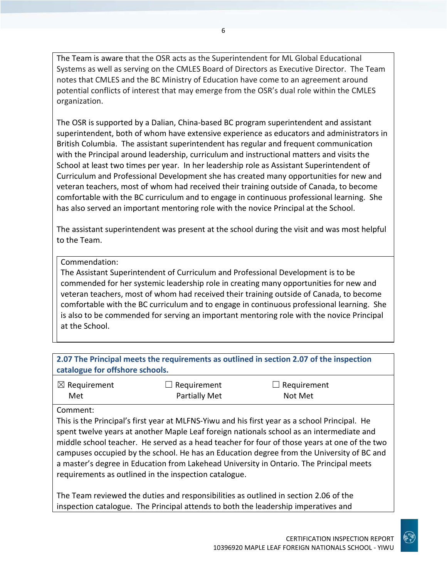The Team is aware that the OSR acts as the Superintendent for ML Global Educational Systems as well as serving on the CMLES Board of Directors as Executive Director. The Team notes that CMLES and the BC Ministry of Education have come to an agreement around potential conflicts of interest that may emerge from the OSR's dual role within the CMLES organization.

The OSR is supported by a Dalian, China-based BC program superintendent and assistant superintendent, both of whom have extensive experience as educators and administrators in British Columbia. The assistant superintendent has regular and frequent communication with the Principal around leadership, curriculum and instructional matters and visits the School at least two times per year. In her leadership role as Assistant Superintendent of Curriculum and Professional Development she has created many opportunities for new and veteran teachers, most of whom had received their training outside of Canada, to become comfortable with the BC curriculum and to engage in continuous professional learning. She has also served an important mentoring role with the novice Principal at the School.

The assistant superintendent was present at the school during the visit and was most helpful to the Team.

#### Commendation:

The Assistant Superintendent of Curriculum and Professional Development is to be commended for her systemic leadership role in creating many opportunities for new and veteran teachers, most of whom had received their training outside of Canada, to become comfortable with the BC curriculum and to engage in continuous professional learning. She is also to be commended for serving an important mentoring role with the novice Principal at the School.

| 2.07 The Principal meets the requirements as outlined in section 2.07 of the inspection<br>catalogue for offshore schools. |                      |                    |
|----------------------------------------------------------------------------------------------------------------------------|----------------------|--------------------|
| $\boxtimes$ Requirement                                                                                                    | $\Box$ Requirement   | $\Box$ Requirement |
| Met                                                                                                                        | <b>Partially Met</b> | Not Met            |

#### Comment:

This is the Principal's first year at MLFNS-Yiwu and his first year as a school Principal. He spent twelve years at another Maple Leaf foreign nationals school as an intermediate and middle school teacher. He served as a head teacher for four of those years at one of the two campuses occupied by the school. He has an Education degree from the University of BC and a master's degree in Education from Lakehead University in Ontario. The Principal meets requirements as outlined in the inspection catalogue.

The Team reviewed the duties and responsibilities as outlined in section 2.06 of the inspection catalogue. The Principal attends to both the leadership imperatives and

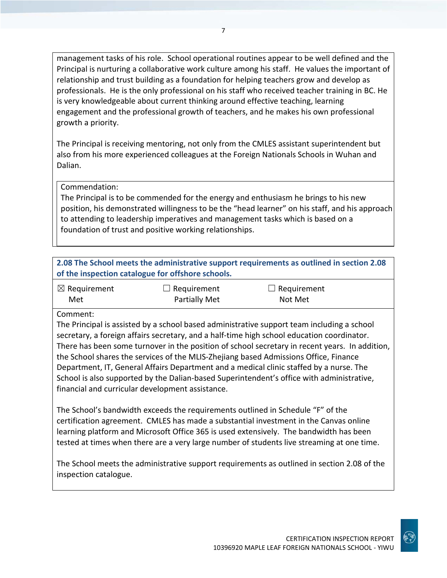management tasks of his role. School operational routines appear to be well defined and the Principal is nurturing a collaborative work culture among his staff. He values the important of relationship and trust building as a foundation for helping teachers grow and develop as professionals. He is the only professional on his staff who received teacher training in BC. He is very knowledgeable about current thinking around effective teaching, learning engagement and the professional growth of teachers, and he makes his own professional growth a priority.

The Principal is receiving mentoring, not only from the CMLES assistant superintendent but also from his more experienced colleagues at the Foreign Nationals Schools in Wuhan and Dalian.

#### Commendation:

The Principal is to be commended for the energy and enthusiasm he brings to his new position, his demonstrated willingness to be the "head learner" on his staff, and his approach to attending to leadership imperatives and management tasks which is based on a foundation of trust and positive working relationships.

| 2.08 The School meets the administrative support requirements as outlined in section 2.08 |
|-------------------------------------------------------------------------------------------|
| of the inspection catalogue for offshore schools.                                         |

| $\boxtimes$ Requirement | $\Box$ Requirement   | $\Box$ Requirement |
|-------------------------|----------------------|--------------------|
| Met                     | <b>Partially Met</b> | Not Met            |

#### Comment:

The Principal is assisted by a school based administrative support team including a school secretary, a foreign affairs secretary, and a half-time high school education coordinator. There has been some turnover in the position of school secretary in recent years. In addition, the School shares the services of the MLIS-Zhejiang based Admissions Office, Finance Department, IT, General Affairs Department and a medical clinic staffed by a nurse. The School is also supported by the Dalian-based Superintendent's office with administrative, financial and curricular development assistance.

The School's bandwidth exceeds the requirements outlined in Schedule "F" of the certification agreement. CMLES has made a substantial investment in the Canvas online learning platform and Microsoft Office 365 is used extensively. The bandwidth has been tested at times when there are a very large number of students live streaming at one time.

The School meets the administrative support requirements as outlined in section 2.08 of the inspection catalogue.

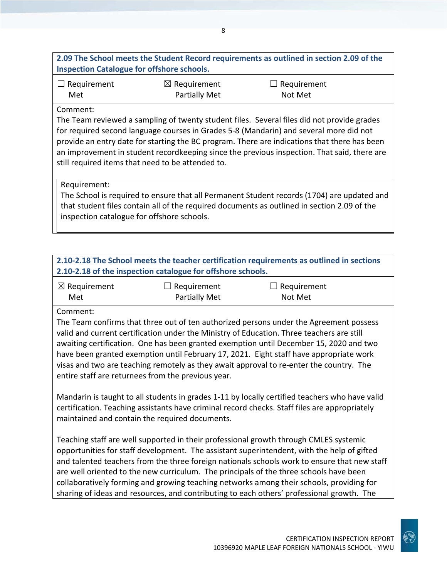#### **2.09 The School meets the Student Record requirements as outlined in section 2.09 of the Inspection Catalogue for offshore schools.**

| $\Box$ Requirement | $\boxtimes$ Requirement | $\Box$ Requirement |
|--------------------|-------------------------|--------------------|
| Met                | <b>Partially Met</b>    | Not Met            |

#### Comment:

The Team reviewed a sampling of twenty student files. Several files did not provide grades for required second language courses in Grades 5-8 (Mandarin) and several more did not provide an entry date for starting the BC program. There are indications that there has been an improvement in student recordkeeping since the previous inspection. That said, there are still required items that need to be attended to.

#### Requirement:

The School is required to ensure that all Permanent Student records (1704) are updated and that student files contain all of the required documents as outlined in section 2.09 of the inspection catalogue for offshore schools.

| 2.10-2.18 The School meets the teacher certification requirements as outlined in sections                                                                                                                                                                                                                                                                                                                                                                                                                                                                              |                                                             |             |  |
|------------------------------------------------------------------------------------------------------------------------------------------------------------------------------------------------------------------------------------------------------------------------------------------------------------------------------------------------------------------------------------------------------------------------------------------------------------------------------------------------------------------------------------------------------------------------|-------------------------------------------------------------|-------------|--|
|                                                                                                                                                                                                                                                                                                                                                                                                                                                                                                                                                                        | 2.10-2.18 of the inspection catalogue for offshore schools. |             |  |
| $\boxtimes$ Requirement                                                                                                                                                                                                                                                                                                                                                                                                                                                                                                                                                | Requirement                                                 | Requirement |  |
| Met                                                                                                                                                                                                                                                                                                                                                                                                                                                                                                                                                                    | <b>Partially Met</b>                                        | Not Met     |  |
| Comment:                                                                                                                                                                                                                                                                                                                                                                                                                                                                                                                                                               |                                                             |             |  |
| The Team confirms that three out of ten authorized persons under the Agreement possess<br>valid and current certification under the Ministry of Education. Three teachers are still<br>awaiting certification. One has been granted exemption until December 15, 2020 and two<br>have been granted exemption until February 17, 2021. Eight staff have appropriate work<br>visas and two are teaching remotely as they await approval to re-enter the country. The<br>entire staff are returnees from the previous year.                                               |                                                             |             |  |
| Mandarin is taught to all students in grades 1-11 by locally certified teachers who have valid<br>certification. Teaching assistants have criminal record checks. Staff files are appropriately<br>maintained and contain the required documents.                                                                                                                                                                                                                                                                                                                      |                                                             |             |  |
| Teaching staff are well supported in their professional growth through CMLES systemic<br>opportunities for staff development. The assistant superintendent, with the help of gifted<br>and talented teachers from the three foreign nationals schools work to ensure that new staff<br>are well oriented to the new curriculum. The principals of the three schools have been<br>collaboratively forming and growing teaching networks among their schools, providing for<br>sharing of ideas and resources, and contributing to each others' professional growth. The |                                                             |             |  |

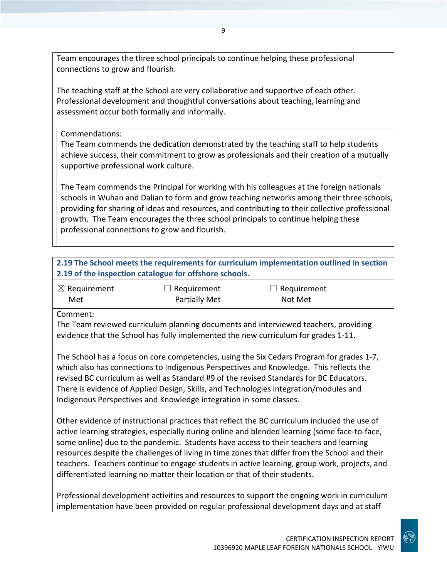Team encourages the three school principals to continue helping these professional connections to grow and flourish.

The teaching staff at the School are very collaborative and supportive of each other. Professional development and thoughtful conversations about teaching, learning and assessment occur both formally and informally.

#### Commendations:

The Team commends the dedication demonstrated by the teaching staff to help students achieve success, their commitment to grow as professionals and their creation of a mutually supportive professional work culture.

The Team commends the Principal for working with his colleagues at the foreign nationals schools in Wuhan and Dalian to form and grow teaching networks among their three schools, providing for sharing of ideas and resources, and contributing to their collective professional growth. The Team encourages the three school principals to continue helping these professional connections to grow and flourish.

| 2.19 of the inspection catalogue for offshore schools. |
|--------------------------------------------------------|

| $\boxtimes$ Requirement | $\Box$ Requirement | $\Box$ Requirement |
|-------------------------|--------------------|--------------------|
| Met                     | Partially Met      | Not Met            |

Comment:

The Team reviewed curriculum planning documents and interviewed teachers, providing evidence that the School has fully implemented the new curriculum for grades 1-11.

The School has a focus on core competencies, using the Six Cedars Program for grades 1-7, which also has connections to Indigenous Perspectives and Knowledge. This reflects the revised BC curriculum as well as Standard #9 of the revised Standards for BC Educators. There is evidence of Applied Design, Skills, and Technologies integration/modules and Indigenous Perspectives and Knowledge integration in some classes.

Other evidence of instructional practices that reflect the BC curriculum included the use of active learning strategies, especially during online and blended learning (some face-to-face, some online) due to the pandemic. Students have access to their teachers and learning resources despite the challenges of living in time zones that differ from the School and their teachers. Teachers continue to engage students in active learning, group work, projects, and differentiated learning no matter their location or that of their students.

Professional development activities and resources to support the ongoing work in curriculum implementation have been provided on regular professional development days and at staff

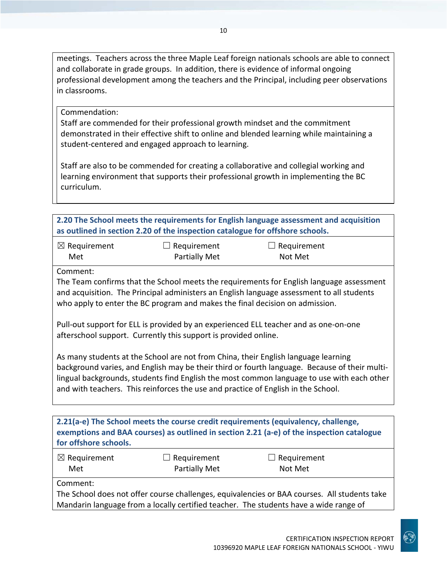meetings. Teachers across the three Maple Leaf foreign nationals schools are able to connect and collaborate in grade groups. In addition, there is evidence of informal ongoing professional development among the teachers and the Principal, including peer observations in classrooms.

Commendation:

Staff are commended for their professional growth mindset and the commitment demonstrated in their effective shift to online and blended learning while maintaining a student-centered and engaged approach to learning.

Staff are also to be commended for creating a collaborative and collegial working and learning environment that supports their professional growth in implementing the BC curriculum.

| 2.20 The School meets the requirements for English language assessment and acquisition |                    |                    |  |
|----------------------------------------------------------------------------------------|--------------------|--------------------|--|
| as outlined in section 2.20 of the inspection catalogue for offshore schools.          |                    |                    |  |
| $\boxtimes$ Requirement                                                                | $\Box$ Requirement | $\Box$ Requirement |  |

| Requirement   | $\Box$ Requirem |
|---------------|-----------------|
| Partially Met | Not Met         |

Comment:

The Team confirms that the School meets the requirements for English language assessment and acquisition. The Principal administers an English language assessment to all students who apply to enter the BC program and makes the final decision on admission.

Pull-out support for ELL is provided by an experienced ELL teacher and as one-on-one afterschool support. Currently this support is provided online.

As many students at the School are not from China, their English language learning background varies, and English may be their third or fourth language. Because of their multilingual backgrounds, students find English the most common language to use with each other and with teachers. This reinforces the use and practice of English in the School.

**2.21(a-e) The School meets the course credit requirements (equivalency, challenge, exemptions and BAA courses) as outlined in section 2.21 (a-e) of the inspection catalogue for offshore schools.**

| $\boxtimes$ Requirement | $\Box$ Requirement | $\Box$ Requirement |  |
|-------------------------|--------------------|--------------------|--|
| Met                     | Partially Met      | Not Met            |  |

Comment:

The School does not offer course challenges, equivalencies or BAA courses. All students take Mandarin language from a locally certified teacher. The students have a wide range of

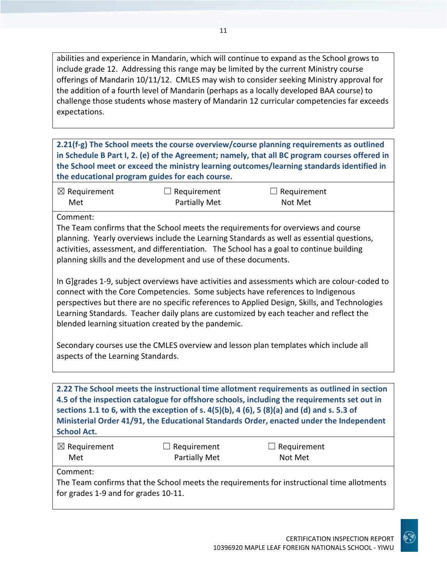abilities and experience in Mandarin, which will continue to expand as the School grows to include grade 12. Addressing this range may be limited by the current Ministry course offerings of Mandarin 10/11/12. CMLES may wish to consider seeking Ministry approval for the addition of a fourth level of Mandarin (perhaps as a locally developed BAA course) to challenge those students whose mastery of Mandarin 12 curricular competencies far exceeds expectations.

**2.21(f-g) The School meets the course overview/course planning requirements as outlined in Schedule B Part I, 2. (e) of the Agreement; namely, that all BC program courses offered in the School meet or exceed the ministry learning outcomes/learning standards identified in the educational program guides for each course.**

| $\boxtimes$ Requirement | $\Box$ Requirement   | $\Box$ Requirement |
|-------------------------|----------------------|--------------------|
| Met                     | <b>Partially Met</b> | Not Met            |

Comment:

The Team confirms that the School meets the requirements for overviews and course planning. Yearly overviews include the Learning Standards as well as essential questions, activities, assessment, and differentiation. The School has a goal to continue building planning skills and the development and use of these documents.

In G]grades 1-9, subject overviews have activities and assessments which are colour-coded to connect with the Core Competencies. Some subjects have references to Indigenous perspectives but there are no specific references to Applied Design, Skills, and Technologies Learning Standards. Teacher daily plans are customized by each teacher and reflect the blended learning situation created by the pandemic.

Secondary courses use the CMLES overview and lesson plan templates which include all aspects of the Learning Standards.

**2.22 The School meets the instructional time allotment requirements as outlined in section 4.5 of the inspection catalogue for offshore schools, including the requirements set out in sections 1.1 to 6, with the exception of s. 4(5)(b), 4 (6), 5 (8)(a) and (d) and s. 5.3 of Ministerial Order 41/91, the Educational Standards Order, enacted under the Independent School Act.**

| $\boxtimes$ Requirement | $\Box$ Requirement | $\Box$ Requirement |
|-------------------------|--------------------|--------------------|
| Met                     | Partially Met      | Not Met            |

Comment:

The Team confirms that the School meets the requirements for instructional time allotments for grades 1-9 and for grades 10-11.

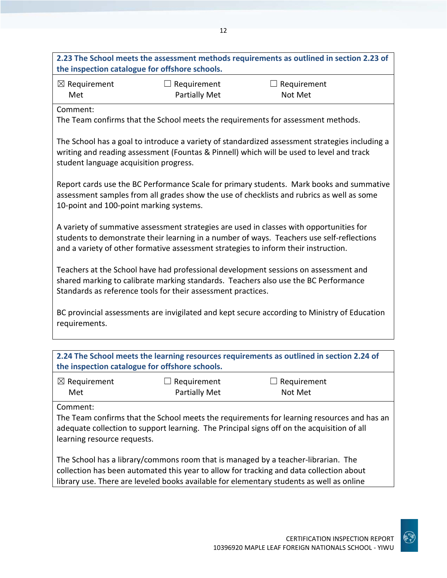|                                         |                                                                                     | 2.23 The School meets the assessment methods requirements as outlined in section 2.23 of                                                                                                   |
|-----------------------------------------|-------------------------------------------------------------------------------------|--------------------------------------------------------------------------------------------------------------------------------------------------------------------------------------------|
|                                         | the inspection catalogue for offshore schools.                                      |                                                                                                                                                                                            |
| $\boxtimes$ Requirement                 | $\Box$ Requirement                                                                  | $\Box$ Requirement                                                                                                                                                                         |
| Met                                     | <b>Partially Met</b>                                                                | Not Met                                                                                                                                                                                    |
| Comment:                                |                                                                                     |                                                                                                                                                                                            |
|                                         |                                                                                     | The Team confirms that the School meets the requirements for assessment methods.                                                                                                           |
| student language acquisition progress.  |                                                                                     | The School has a goal to introduce a variety of standardized assessment strategies including a<br>writing and reading assessment (Fountas & Pinnell) which will be used to level and track |
| 10-point and 100-point marking systems. |                                                                                     | Report cards use the BC Performance Scale for primary students. Mark books and summative<br>assessment samples from all grades show the use of checklists and rubrics as well as some      |
|                                         | and a variety of other formative assessment strategies to inform their instruction. | A variety of summative assessment strategies are used in classes with opportunities for<br>students to demonstrate their learning in a number of ways. Teachers use self-reflections       |
|                                         | Standards as reference tools for their assessment practices.                        | Teachers at the School have had professional development sessions on assessment and<br>shared marking to calibrate marking standards. Teachers also use the BC Performance                 |
| requirements.                           |                                                                                     | BC provincial assessments are invigilated and kept secure according to Ministry of Education                                                                                               |
|                                         |                                                                                     |                                                                                                                                                                                            |
|                                         | the inspection catalogue for offshore schools.                                      | 2.24 The School meets the learning resources requirements as outlined in section 2.24 of                                                                                                   |
| $\boxtimes$ Requirement                 | Requirement                                                                         | Requirement                                                                                                                                                                                |
| Met                                     | <b>Partially Met</b>                                                                | Not Met                                                                                                                                                                                    |
| Comment:<br>learning resource requests. |                                                                                     | The Team confirms that the School meets the requirements for learning resources and has an<br>adequate collection to support learning. The Principal signs off on the acquisition of all   |
|                                         |                                                                                     | The School has a library/commons room that is managed by a teacher-librarian. The<br>collection has been automated this year to allow for tracking and data collection about               |

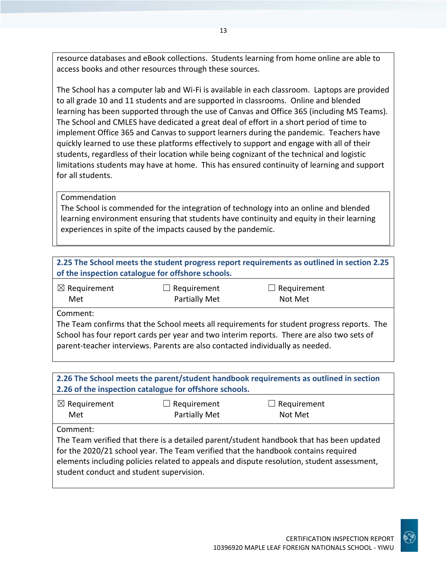resource databases and eBook collections. Students learning from home online are able to access books and other resources through these sources.

The School has a computer lab and Wi-Fi is available in each classroom. Laptops are provided to all grade 10 and 11 students and are supported in classrooms. Online and blended learning has been supported through the use of Canvas and Office 365 (including MS Teams). The School and CMLES have dedicated a great deal of effort in a short period of time to implement Office 365 and Canvas to support learners during the pandemic. Teachers have quickly learned to use these platforms effectively to support and engage with all of their students, regardless of their location while being cognizant of the technical and logistic limitations students may have at home. This has ensured continuity of learning and support for all students.

#### Commendation

The School is commended for the integration of technology into an online and blended learning environment ensuring that students have continuity and equity in their learning experiences in spite of the impacts caused by the pandemic.

|                         | of the inspection catalogue for offshore schools.                             | 2.25 The School meets the student progress report requirements as outlined in section 2.25 |
|-------------------------|-------------------------------------------------------------------------------|--------------------------------------------------------------------------------------------|
| $\boxtimes$ Requirement | Requirement                                                                   | Requirement                                                                                |
| Met                     | Partially Met                                                                 | Not Met                                                                                    |
| Comment:                |                                                                               |                                                                                            |
|                         |                                                                               | The Team confirms that the School meets all requirements for student progress reports. The |
|                         | parent-teacher interviews. Parents are also contacted individually as needed. | School has four report cards per year and two interim reports. There are also two sets of  |
|                         |                                                                               |                                                                                            |
|                         |                                                                               | 2.26 The School meets the parent/student handbook requirements as outlined in section      |
|                         | 2.26 of the inspection catalogue for offshore schools.                        |                                                                                            |
| $\boxtimes$ Requirement | Requirement                                                                   | Requirement                                                                                |
| Met                     | Partially Met                                                                 | Not Met                                                                                    |
| Comment:                |                                                                               |                                                                                            |

The Team verified that there is a detailed parent/student handbook that has been updated for the 2020/21 school year. The Team verified that the handbook contains required elements including policies related to appeals and dispute resolution, student assessment, student conduct and student supervision.

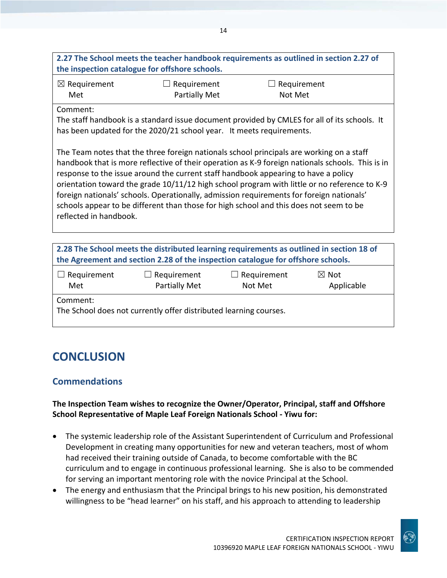| $\boxtimes$ Requirement<br>Met | $\Box$ Requirement<br><b>Partially Met</b>                                                                                                                                                                                                                                                                                                                                                                                                                                   | Requirement<br>Not Met |                               |
|--------------------------------|------------------------------------------------------------------------------------------------------------------------------------------------------------------------------------------------------------------------------------------------------------------------------------------------------------------------------------------------------------------------------------------------------------------------------------------------------------------------------|------------------------|-------------------------------|
| Comment:                       |                                                                                                                                                                                                                                                                                                                                                                                                                                                                              |                        |                               |
|                                | The staff handbook is a standard issue document provided by CMLES for all of its schools. It<br>has been updated for the 2020/21 school year. It meets requirements.                                                                                                                                                                                                                                                                                                         |                        |                               |
|                                | The Team notes that the three foreign nationals school principals are working on a staff                                                                                                                                                                                                                                                                                                                                                                                     |                        |                               |
| reflected in handbook.         | handbook that is more reflective of their operation as K-9 foreign nationals schools. This is in<br>response to the issue around the current staff handbook appearing to have a policy<br>orientation toward the grade 10/11/12 high school program with little or no reference to K-9<br>foreign nationals' schools. Operationally, admission requirements for foreign nationals'<br>schools appear to be different than those for high school and this does not seem to be |                        |                               |
|                                | 2.28 The School meets the distributed learning requirements as outlined in section 18 of                                                                                                                                                                                                                                                                                                                                                                                     |                        |                               |
|                                | the Agreement and section 2.28 of the inspection catalogue for offshore schools.                                                                                                                                                                                                                                                                                                                                                                                             |                        |                               |
| $\Box$ Requirement             | Requirement<br>Partially Met                                                                                                                                                                                                                                                                                                                                                                                                                                                 | Requirement<br>Not Met | $\boxtimes$ Not<br>Applicable |

14

## **CONCLUSION**

## **Commendations**

#### **The Inspection Team wishes to recognize the Owner/Operator, Principal, staff and Offshore School Representative of Maple Leaf Foreign Nationals School - Yiwu for:**

- The systemic leadership role of the Assistant Superintendent of Curriculum and Professional Development in creating many opportunities for new and veteran teachers, most of whom had received their training outside of Canada, to become comfortable with the BC curriculum and to engage in continuous professional learning. She is also to be commended for serving an important mentoring role with the novice Principal at the School.
- The energy and enthusiasm that the Principal brings to his new position, his demonstrated willingness to be "head learner" on his staff, and his approach to attending to leadership